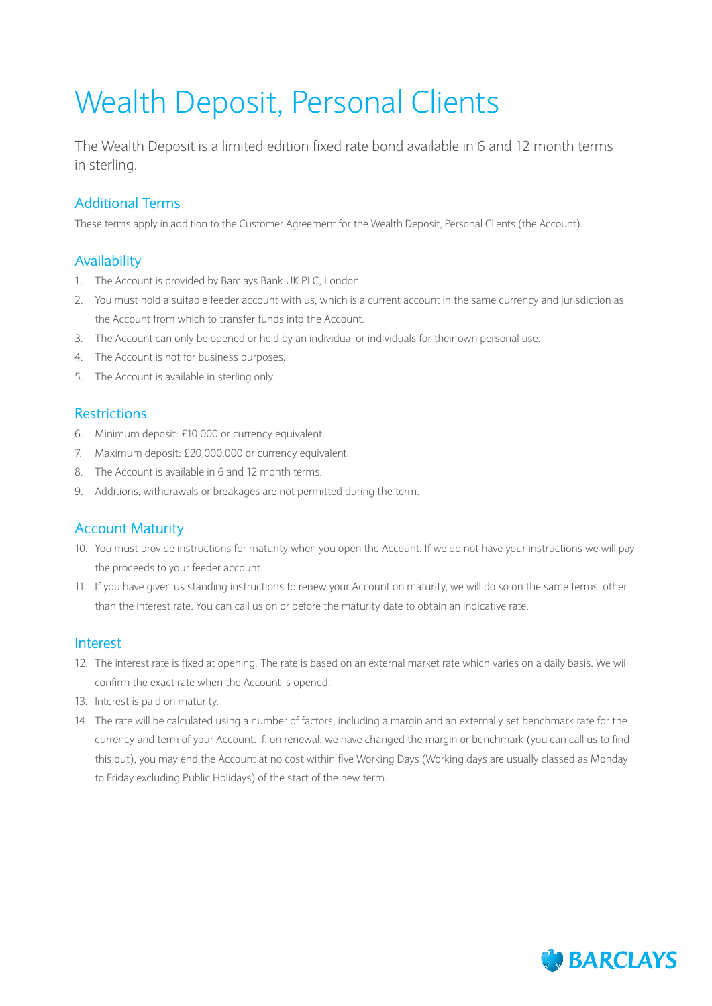# Wealth Deposit, Personal Clients

The Wealth Deposit is a limited edition fixed rate bond available in 6 and 12 month terms in sterling.

# Additional Terms

These terms apply in addition to the Customer Agreement for the Wealth Deposit, Personal Clients (the Account).

# Availability

- 1. The Account is provided by Barclays Bank UK PLC, London.
- 2. You must hold a suitable feeder account with us, which is a current account in the same currency and jurisdiction as the Account from which to transfer funds into the Account.
- 3. The Account can only be opened or held by an individual or individuals for their own personal use.
- 4. The Account is not for business purposes.
- 5. The Account is available in sterling only.

## Restrictions

- 6. Minimum deposit: £10,000 or currency equivalent.
- 7. Maximum deposit: £20,000,000 or currency equivalent.
- 8. The Account is available in 6 and 12 month terms.
- 9. Additions, withdrawals or breakages are not permitted during the term.

## Account Maturity

- 10. You must provide instructions for maturity when you open the Account. If we do not have your instructions we will pay the proceeds to your feeder account.
- 11. If you have given us standing instructions to renew your Account on maturity, we will do so on the same terms, other than the interest rate. You can call us on or before the maturity date to obtain an indicative rate.

#### Interest

- 12. The interest rate is fixed at opening. The rate is based on an external market rate which varies on a daily basis. We will confirm the exact rate when the Account is opened.
- 13. Interest is paid on maturity.
- 14. The rate will be calculated using a number of factors, including a margin and an externally set benchmark rate for the currency and term of your Account. If, on renewal, we have changed the margin or benchmark (you can call us to find this out), you may end the Account at no cost within five Working Days (Working days are usually classed as Monday to Friday excluding Public Holidays) of the start of the new term.